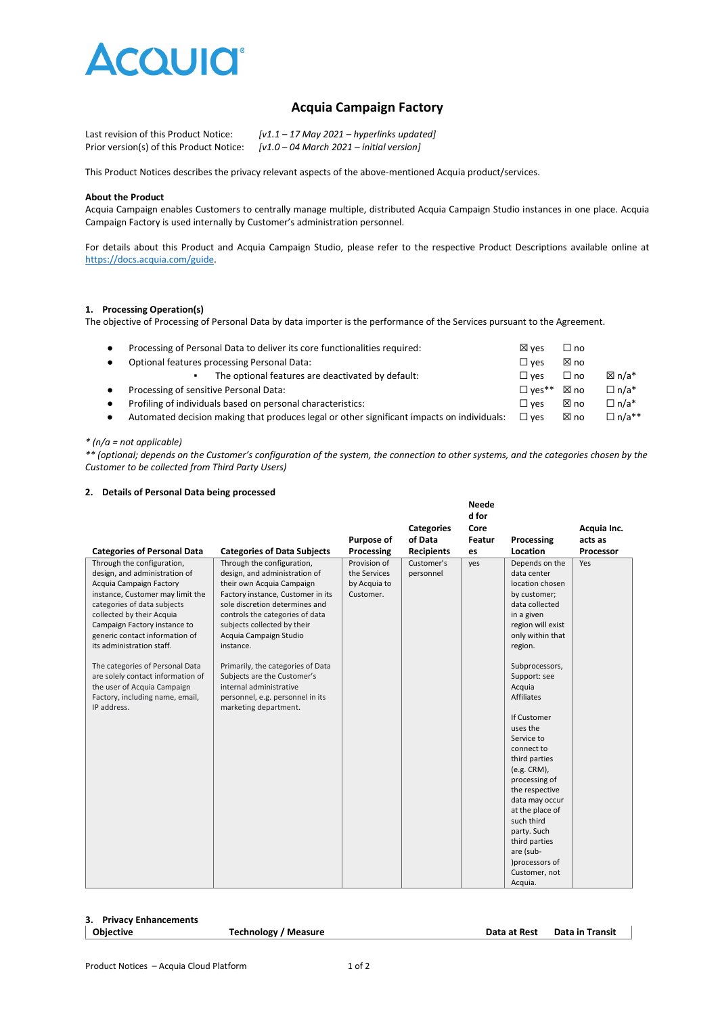

# **Acquia Campaign Factory**

| Last revision of this Product Notice:    | $[v1.1 - 17$ May 2021 – hyperlinks updated] |
|------------------------------------------|---------------------------------------------|
| Prior version(s) of this Product Notice: | $[v1.0 - 04$ March 2021 – initial version]  |

This Product Notices describes the privacy relevant aspects of the above-mentioned Acquia product/services.

#### **About the Product**

Acquia Campaign enables Customers to centrally manage multiple, distributed Acquia Campaign Studio instances in one place. Acquia Campaign Factory is used internally by Customer's administration personnel.

For details about this Product and Acquia Campaign Studio, please refer to the respective Product Descriptions available online at [https://docs.acquia.com/guide.](https://docs.acquia.com/guide)

# **1. Processing Operation(s)**

The objective of Processing of Personal Data by data importer is the performance of the Services pursuant to the Agreement.

| Processing of Personal Data to deliver its core functionalities required:                  | $\boxtimes$ ves          | $\square$ no |              |
|--------------------------------------------------------------------------------------------|--------------------------|--------------|--------------|
| Optional features processing Personal Data:                                                |                          | ⊠ no         |              |
| The optional features are deactivated by default:                                          | $\square$ ves            | $\Box$ no    | ⊠ n/a*       |
| Processing of sensitive Personal Data:                                                     | $\Box$ ves <sup>**</sup> | ⊠ no         | $\Box$ n/a*  |
| Profiling of individuals based on personal characteristics:                                | $\square$ ves            | ⊠ no         | $\Box$ n/a*  |
| Automated decision making that produces legal or other significant impacts on individuals: | $\Box$ ves               | ⊠ no         | $\Box$ n/a** |
|                                                                                            |                          |              |              |

#### *\* (n/a = not applicable)*

*\*\* (optional; depends on the Customer's configuration of the system, the connection to other systems, and the categories chosen by the Customer to be collected from Third Party Users)*

**Neede**

## **2. Details of Personal Data being processed**

|                                                                                                                                                                                                                                                                                                                                                                                                                                                |                                                                                                                                                                                                                                                                                                                                                                                                                                      |                                                           |                         | neege<br>d for |                                                                                                                                                                                                                                                                                                                                                                                                                                                                                               |             |
|------------------------------------------------------------------------------------------------------------------------------------------------------------------------------------------------------------------------------------------------------------------------------------------------------------------------------------------------------------------------------------------------------------------------------------------------|--------------------------------------------------------------------------------------------------------------------------------------------------------------------------------------------------------------------------------------------------------------------------------------------------------------------------------------------------------------------------------------------------------------------------------------|-----------------------------------------------------------|-------------------------|----------------|-----------------------------------------------------------------------------------------------------------------------------------------------------------------------------------------------------------------------------------------------------------------------------------------------------------------------------------------------------------------------------------------------------------------------------------------------------------------------------------------------|-------------|
|                                                                                                                                                                                                                                                                                                                                                                                                                                                |                                                                                                                                                                                                                                                                                                                                                                                                                                      |                                                           | <b>Categories</b>       | Core           |                                                                                                                                                                                                                                                                                                                                                                                                                                                                                               | Acquia Inc. |
|                                                                                                                                                                                                                                                                                                                                                                                                                                                |                                                                                                                                                                                                                                                                                                                                                                                                                                      | Purpose of                                                | of Data                 | Featur         | Processing                                                                                                                                                                                                                                                                                                                                                                                                                                                                                    | acts as     |
| <b>Categories of Personal Data</b>                                                                                                                                                                                                                                                                                                                                                                                                             | <b>Categories of Data Subjects</b>                                                                                                                                                                                                                                                                                                                                                                                                   | Processing                                                | <b>Recipients</b>       | es             | Location                                                                                                                                                                                                                                                                                                                                                                                                                                                                                      | Processor   |
| Through the configuration,<br>design, and administration of<br>Acquia Campaign Factory<br>instance, Customer may limit the<br>categories of data subjects<br>collected by their Acquia<br>Campaign Factory instance to<br>generic contact information of<br>its administration staff.<br>The categories of Personal Data<br>are solely contact information of<br>the user of Acquia Campaign<br>Factory, including name, email,<br>IP address. | Through the configuration,<br>design, and administration of<br>their own Acquia Campaign<br>Factory instance, Customer in its<br>sole discretion determines and<br>controls the categories of data<br>subjects collected by their<br>Acquia Campaign Studio<br>instance.<br>Primarily, the categories of Data<br>Subjects are the Customer's<br>internal administrative<br>personnel, e.g. personnel in its<br>marketing department. | Provision of<br>the Services<br>by Acquia to<br>Customer. | Customer's<br>personnel | yes            | Depends on the<br>data center<br>location chosen<br>by customer;<br>data collected<br>in a given<br>region will exist<br>only within that<br>region.<br>Subprocessors,<br>Support: see<br>Acquia<br><b>Affiliates</b><br>If Customer<br>uses the<br>Service to<br>connect to<br>third parties<br>(e.g. CRM),<br>processing of<br>the respective<br>data may occur<br>at the place of<br>such third<br>party. Such<br>third parties<br>are (sub-<br>)processors of<br>Customer, not<br>Acquia. | Yes         |

## **3. Privacy Enhancements**

**Objective Technology / Measure Data at Rest Data in Transit**